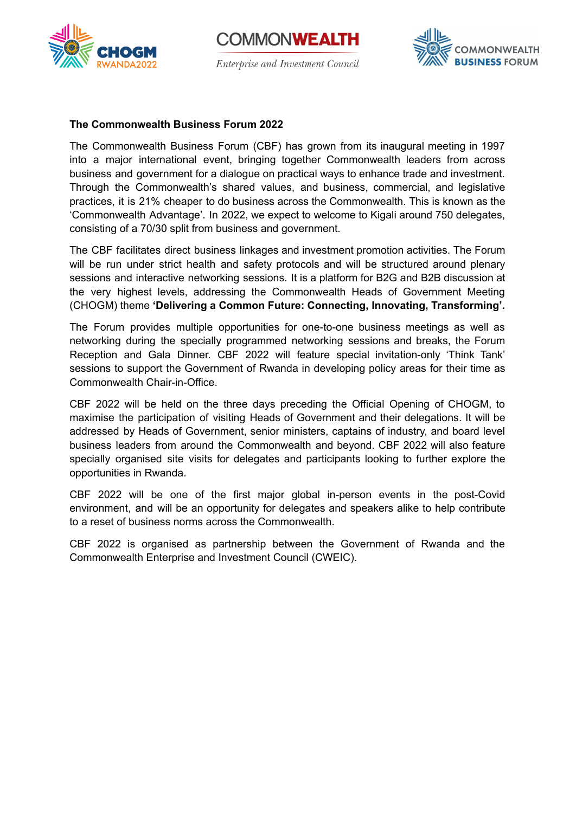





#### **The Commonwealth Business Forum 2022**

The Commonwealth Business Forum (CBF) has grown from its inaugural meeting in 1997 into a major international event, bringing together Commonwealth leaders from across business and government for a dialogue on practical ways to enhance trade and investment. Through the Commonwealth's shared values, and business, commercial, and legislative practices, it is 21% cheaper to do business across the Commonwealth. This is known as the 'Commonwealth Advantage'. In 2022, we expect to welcome to Kigali around 750 delegates, consisting of a 70/30 split from business and government.

The CBF facilitates direct business linkages and investment promotion activities. The Forum will be run under strict health and safety protocols and will be structured around plenary sessions and interactive networking sessions. It is a platform for B2G and B2B discussion at the very highest levels, addressing the Commonwealth Heads of Government Meeting (CHOGM) theme **'Delivering a Common Future: Connecting, Innovating, Transforming'.**

The Forum provides multiple opportunities for one-to-one business meetings as well as networking during the specially programmed networking sessions and breaks, the Forum Reception and Gala Dinner. CBF 2022 will feature special invitation-only 'Think Tank' sessions to support the Government of Rwanda in developing policy areas for their time as Commonwealth Chair-in-Office.

CBF 2022 will be held on the three days preceding the Official Opening of CHOGM, to maximise the participation of visiting Heads of Government and their delegations. It will be addressed by Heads of Government, senior ministers, captains of industry, and board level business leaders from around the Commonwealth and beyond. CBF 2022 will also feature specially organised site visits for delegates and participants looking to further explore the opportunities in Rwanda.

CBF 2022 will be one of the first major global in-person events in the post-Covid environment, and will be an opportunity for delegates and speakers alike to help contribute to a reset of business norms across the Commonwealth.

CBF 2022 is organised as partnership between the Government of Rwanda and the Commonwealth Enterprise and Investment Council (CWEIC).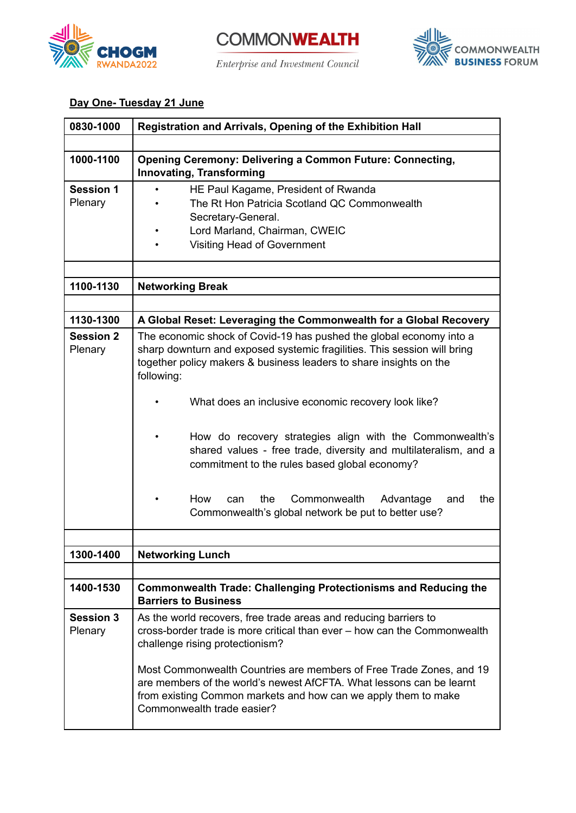





# **Day One- Tuesday 21 June**

| 0830-1000                   | Registration and Arrivals, Opening of the Exhibition Hall                                                                                                                                                                                                                                                                                                                                                                                                                                                                                                                                          |
|-----------------------------|----------------------------------------------------------------------------------------------------------------------------------------------------------------------------------------------------------------------------------------------------------------------------------------------------------------------------------------------------------------------------------------------------------------------------------------------------------------------------------------------------------------------------------------------------------------------------------------------------|
|                             |                                                                                                                                                                                                                                                                                                                                                                                                                                                                                                                                                                                                    |
| 1000-1100                   | <b>Opening Ceremony: Delivering a Common Future: Connecting,</b><br>Innovating, Transforming                                                                                                                                                                                                                                                                                                                                                                                                                                                                                                       |
| <b>Session 1</b><br>Plenary | HE Paul Kagame, President of Rwanda<br>$\bullet$<br>The Rt Hon Patricia Scotland QC Commonwealth<br>Secretary-General.<br>Lord Marland, Chairman, CWEIC<br><b>Visiting Head of Government</b>                                                                                                                                                                                                                                                                                                                                                                                                      |
| 1100-1130                   | <b>Networking Break</b>                                                                                                                                                                                                                                                                                                                                                                                                                                                                                                                                                                            |
|                             |                                                                                                                                                                                                                                                                                                                                                                                                                                                                                                                                                                                                    |
| 1130-1300                   | A Global Reset: Leveraging the Commonwealth for a Global Recovery                                                                                                                                                                                                                                                                                                                                                                                                                                                                                                                                  |
| <b>Session 2</b><br>Plenary | The economic shock of Covid-19 has pushed the global economy into a<br>sharp downturn and exposed systemic fragilities. This session will bring<br>together policy makers & business leaders to share insights on the<br>following:<br>What does an inclusive economic recovery look like?<br>How do recovery strategies align with the Commonwealth's<br>shared values - free trade, diversity and multilateralism, and a<br>commitment to the rules based global economy?<br>How<br>the<br>Commonwealth<br>Advantage<br>the<br>and<br>can<br>Commonwealth's global network be put to better use? |
| 1300-1400                   | <b>Networking Lunch</b>                                                                                                                                                                                                                                                                                                                                                                                                                                                                                                                                                                            |
|                             |                                                                                                                                                                                                                                                                                                                                                                                                                                                                                                                                                                                                    |
| 1400-1530                   | <b>Commonwealth Trade: Challenging Protectionisms and Reducing the</b><br><b>Barriers to Business</b>                                                                                                                                                                                                                                                                                                                                                                                                                                                                                              |
| <b>Session 3</b><br>Plenary | As the world recovers, free trade areas and reducing barriers to<br>cross-border trade is more critical than ever – how can the Commonwealth<br>challenge rising protectionism?<br>Most Commonwealth Countries are members of Free Trade Zones, and 19<br>are members of the world's newest AfCFTA. What lessons can be learnt<br>from existing Common markets and how can we apply them to make<br>Commonwealth trade easier?                                                                                                                                                                     |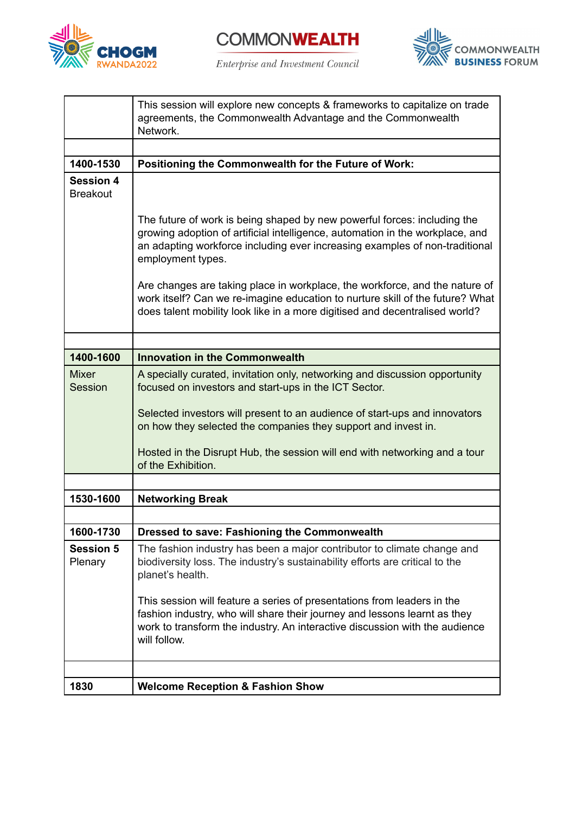



 $\label{prop:ent} \begin{minipage}{0.9\linewidth} \hspace*{-0.1cm} \textit{Interprise and Investment Council} \end{minipage}$ 



|                                     | This session will explore new concepts & frameworks to capitalize on trade<br>agreements, the Commonwealth Advantage and the Commonwealth<br>Network.                                                                                                         |
|-------------------------------------|---------------------------------------------------------------------------------------------------------------------------------------------------------------------------------------------------------------------------------------------------------------|
|                                     |                                                                                                                                                                                                                                                               |
| 1400-1530                           | Positioning the Commonwealth for the Future of Work:                                                                                                                                                                                                          |
| <b>Session 4</b><br><b>Breakout</b> |                                                                                                                                                                                                                                                               |
|                                     | The future of work is being shaped by new powerful forces: including the<br>growing adoption of artificial intelligence, automation in the workplace, and<br>an adapting workforce including ever increasing examples of non-traditional<br>employment types. |
|                                     | Are changes are taking place in workplace, the workforce, and the nature of<br>work itself? Can we re-imagine education to nurture skill of the future? What<br>does talent mobility look like in a more digitised and decentralised world?                   |
|                                     |                                                                                                                                                                                                                                                               |
| 1400-1600                           | <b>Innovation in the Commonwealth</b>                                                                                                                                                                                                                         |
| <b>Mixer</b><br>Session             | A specially curated, invitation only, networking and discussion opportunity<br>focused on investors and start-ups in the ICT Sector.                                                                                                                          |
|                                     | Selected investors will present to an audience of start-ups and innovators<br>on how they selected the companies they support and invest in.                                                                                                                  |
|                                     | Hosted in the Disrupt Hub, the session will end with networking and a tour<br>of the Exhibition.                                                                                                                                                              |
|                                     |                                                                                                                                                                                                                                                               |
| 1530-1600                           | <b>Networking Break</b>                                                                                                                                                                                                                                       |
|                                     |                                                                                                                                                                                                                                                               |
| 1600-1730                           | Dressed to save: Fashioning the Commonwealth                                                                                                                                                                                                                  |
| <b>Session 5</b><br>Plenary         | The fashion industry has been a major contributor to climate change and<br>biodiversity loss. The industry's sustainability efforts are critical to the<br>planet's health.                                                                                   |
|                                     | This session will feature a series of presentations from leaders in the<br>fashion industry, who will share their journey and lessons learnt as they<br>work to transform the industry. An interactive discussion with the audience<br>will follow.           |
|                                     |                                                                                                                                                                                                                                                               |
| 1830                                | <b>Welcome Reception &amp; Fashion Show</b>                                                                                                                                                                                                                   |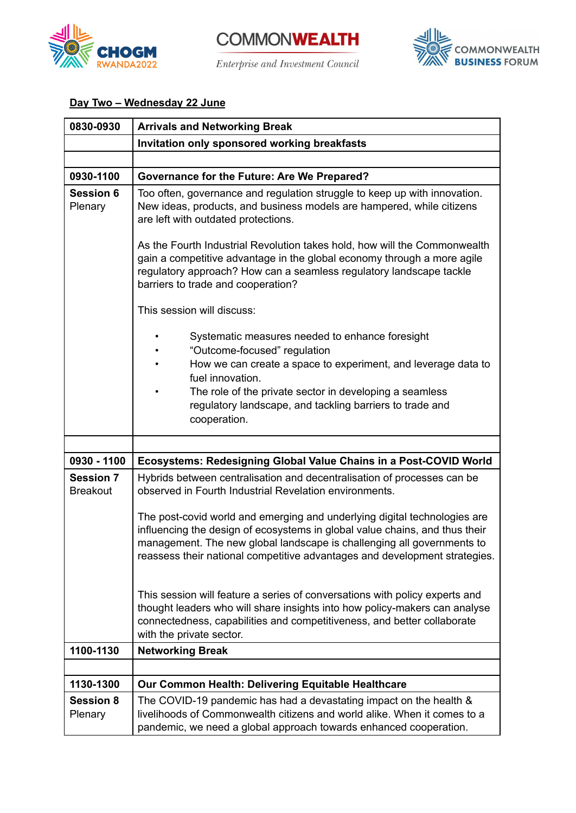

**COMMONWEALTH** Enterprise and Investment Council



# **Day Two – Wednesday 22 June**

| 0830-0930                           | <b>Arrivals and Networking Break</b>                                                                                                                                                                                                                                                                             |
|-------------------------------------|------------------------------------------------------------------------------------------------------------------------------------------------------------------------------------------------------------------------------------------------------------------------------------------------------------------|
|                                     | Invitation only sponsored working breakfasts                                                                                                                                                                                                                                                                     |
|                                     |                                                                                                                                                                                                                                                                                                                  |
| 0930-1100                           | Governance for the Future: Are We Prepared?                                                                                                                                                                                                                                                                      |
| <b>Session 6</b><br>Plenary         | Too often, governance and regulation struggle to keep up with innovation.<br>New ideas, products, and business models are hampered, while citizens<br>are left with outdated protections.                                                                                                                        |
|                                     | As the Fourth Industrial Revolution takes hold, how will the Commonwealth<br>gain a competitive advantage in the global economy through a more agile<br>regulatory approach? How can a seamless regulatory landscape tackle<br>barriers to trade and cooperation?                                                |
|                                     | This session will discuss:                                                                                                                                                                                                                                                                                       |
|                                     | Systematic measures needed to enhance foresight<br>"Outcome-focused" regulation                                                                                                                                                                                                                                  |
|                                     | How we can create a space to experiment, and leverage data to<br>fuel innovation.                                                                                                                                                                                                                                |
|                                     | The role of the private sector in developing a seamless<br>regulatory landscape, and tackling barriers to trade and<br>cooperation.                                                                                                                                                                              |
|                                     |                                                                                                                                                                                                                                                                                                                  |
| 0930 - 1100                         | Ecosystems: Redesigning Global Value Chains in a Post-COVID World                                                                                                                                                                                                                                                |
| <b>Session 7</b><br><b>Breakout</b> | Hybrids between centralisation and decentralisation of processes can be<br>observed in Fourth Industrial Revelation environments.                                                                                                                                                                                |
|                                     | The post-covid world and emerging and underlying digital technologies are<br>influencing the design of ecosystems in global value chains, and thus their<br>management. The new global landscape is challenging all governments to<br>reassess their national competitive advantages and development strategies. |
|                                     | This session will feature a series of conversations with policy experts and<br>thought leaders who will share insights into how policy-makers can analyse<br>connectedness, capabilities and competitiveness, and better collaborate<br>with the private sector.                                                 |
| 1100-1130                           | <b>Networking Break</b>                                                                                                                                                                                                                                                                                          |
|                                     |                                                                                                                                                                                                                                                                                                                  |
| 1130-1300                           | <b>Our Common Health: Delivering Equitable Healthcare</b>                                                                                                                                                                                                                                                        |
| <b>Session 8</b><br>Plenary         | The COVID-19 pandemic has had a devastating impact on the health &<br>livelihoods of Commonwealth citizens and world alike. When it comes to a<br>pandemic, we need a global approach towards enhanced cooperation.                                                                                              |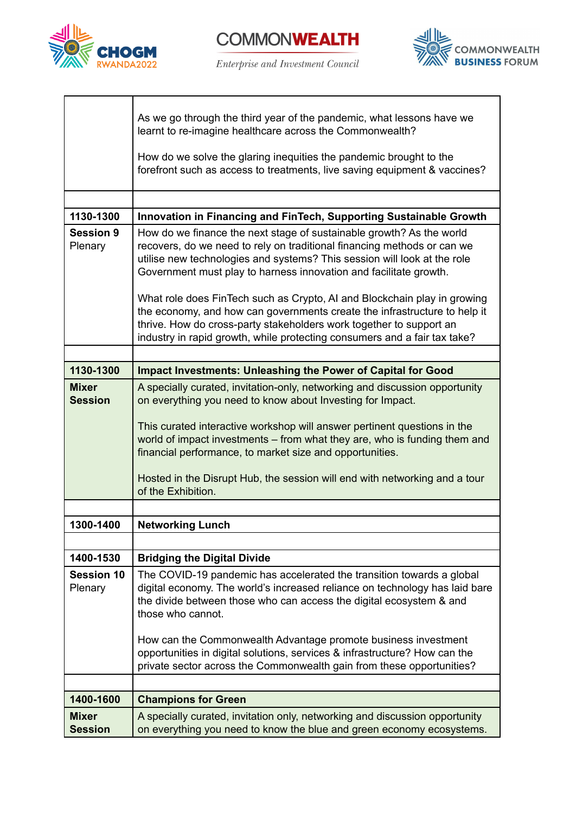



 $\label{prop:ent} \begin{minipage}{0.9\linewidth} \hspace*{-0.1cm} \textit{Interprise and Investment Council} \end{minipage}$ 



|                                | As we go through the third year of the pandemic, what lessons have we<br>learnt to re-imagine healthcare across the Commonwealth?<br>How do we solve the glaring inequities the pandemic brought to the<br>forefront such as access to treatments, live saving equipment & vaccines?                                                                                         |
|--------------------------------|------------------------------------------------------------------------------------------------------------------------------------------------------------------------------------------------------------------------------------------------------------------------------------------------------------------------------------------------------------------------------|
| 1130-1300                      |                                                                                                                                                                                                                                                                                                                                                                              |
|                                | Innovation in Financing and FinTech, Supporting Sustainable Growth                                                                                                                                                                                                                                                                                                           |
| <b>Session 9</b><br>Plenary    | How do we finance the next stage of sustainable growth? As the world<br>recovers, do we need to rely on traditional financing methods or can we<br>utilise new technologies and systems? This session will look at the role<br>Government must play to harness innovation and facilitate growth.<br>What role does FinTech such as Crypto, AI and Blockchain play in growing |
|                                | the economy, and how can governments create the infrastructure to help it<br>thrive. How do cross-party stakeholders work together to support an<br>industry in rapid growth, while protecting consumers and a fair tax take?                                                                                                                                                |
|                                |                                                                                                                                                                                                                                                                                                                                                                              |
| 1130-1300                      | Impact Investments: Unleashing the Power of Capital for Good                                                                                                                                                                                                                                                                                                                 |
| <b>Mixer</b><br><b>Session</b> | A specially curated, invitation-only, networking and discussion opportunity<br>on everything you need to know about Investing for Impact.                                                                                                                                                                                                                                    |
|                                | This curated interactive workshop will answer pertinent questions in the<br>world of impact investments – from what they are, who is funding them and<br>financial performance, to market size and opportunities.                                                                                                                                                            |
|                                | Hosted in the Disrupt Hub, the session will end with networking and a tour<br>of the Exhibition.                                                                                                                                                                                                                                                                             |
|                                |                                                                                                                                                                                                                                                                                                                                                                              |
| 1300-1400                      | <b>Networking Lunch</b>                                                                                                                                                                                                                                                                                                                                                      |
|                                |                                                                                                                                                                                                                                                                                                                                                                              |
| 1400-1530                      | <b>Bridging the Digital Divide</b>                                                                                                                                                                                                                                                                                                                                           |
| <b>Session 10</b><br>Plenary   | The COVID-19 pandemic has accelerated the transition towards a global<br>digital economy. The world's increased reliance on technology has laid bare<br>the divide between those who can access the digital ecosystem & and<br>those who cannot.                                                                                                                             |
|                                | How can the Commonwealth Advantage promote business investment<br>opportunities in digital solutions, services & infrastructure? How can the<br>private sector across the Commonwealth gain from these opportunities?                                                                                                                                                        |
|                                |                                                                                                                                                                                                                                                                                                                                                                              |
| 1400-1600                      | <b>Champions for Green</b>                                                                                                                                                                                                                                                                                                                                                   |
| <b>Mixer</b><br><b>Session</b> | A specially curated, invitation only, networking and discussion opportunity<br>on everything you need to know the blue and green economy ecosystems.                                                                                                                                                                                                                         |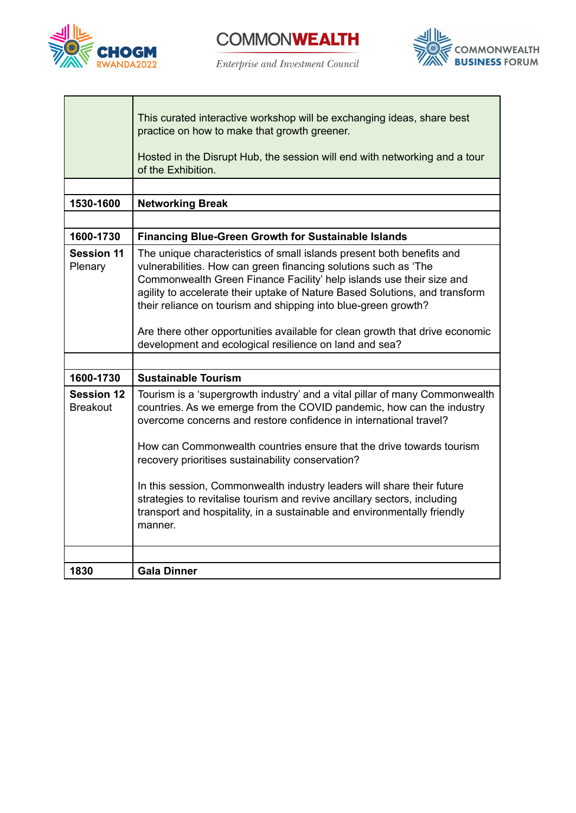

**COMMONWEALTH** 

Enterprise and Investment Council



|                                      | This curated interactive workshop will be exchanging ideas, share best<br>practice on how to make that growth greener.<br>Hosted in the Disrupt Hub, the session will end with networking and a tour<br>of the Exhibition.                                                                                                                                                                                                                                                                                                                                                                          |
|--------------------------------------|-----------------------------------------------------------------------------------------------------------------------------------------------------------------------------------------------------------------------------------------------------------------------------------------------------------------------------------------------------------------------------------------------------------------------------------------------------------------------------------------------------------------------------------------------------------------------------------------------------|
|                                      |                                                                                                                                                                                                                                                                                                                                                                                                                                                                                                                                                                                                     |
| 1530-1600                            | <b>Networking Break</b>                                                                                                                                                                                                                                                                                                                                                                                                                                                                                                                                                                             |
|                                      |                                                                                                                                                                                                                                                                                                                                                                                                                                                                                                                                                                                                     |
| 1600-1730                            | <b>Financing Blue-Green Growth for Sustainable Islands</b>                                                                                                                                                                                                                                                                                                                                                                                                                                                                                                                                          |
| <b>Session 11</b><br>Plenary         | The unique characteristics of small islands present both benefits and<br>vulnerabilities. How can green financing solutions such as 'The<br>Commonwealth Green Finance Facility' help islands use their size and<br>agility to accelerate their uptake of Nature Based Solutions, and transform<br>their reliance on tourism and shipping into blue-green growth?<br>Are there other opportunities available for clean growth that drive economic<br>development and ecological resilience on land and sea?                                                                                         |
|                                      |                                                                                                                                                                                                                                                                                                                                                                                                                                                                                                                                                                                                     |
| 1600-1730                            | <b>Sustainable Tourism</b>                                                                                                                                                                                                                                                                                                                                                                                                                                                                                                                                                                          |
| <b>Session 12</b><br><b>Breakout</b> | Tourism is a 'supergrowth industry' and a vital pillar of many Commonwealth<br>countries. As we emerge from the COVID pandemic, how can the industry<br>overcome concerns and restore confidence in international travel?<br>How can Commonwealth countries ensure that the drive towards tourism<br>recovery prioritises sustainability conservation?<br>In this session, Commonwealth industry leaders will share their future<br>strategies to revitalise tourism and revive ancillary sectors, including<br>transport and hospitality, in a sustainable and environmentally friendly<br>manner. |
| 1830                                 | <b>Gala Dinner</b>                                                                                                                                                                                                                                                                                                                                                                                                                                                                                                                                                                                  |
|                                      |                                                                                                                                                                                                                                                                                                                                                                                                                                                                                                                                                                                                     |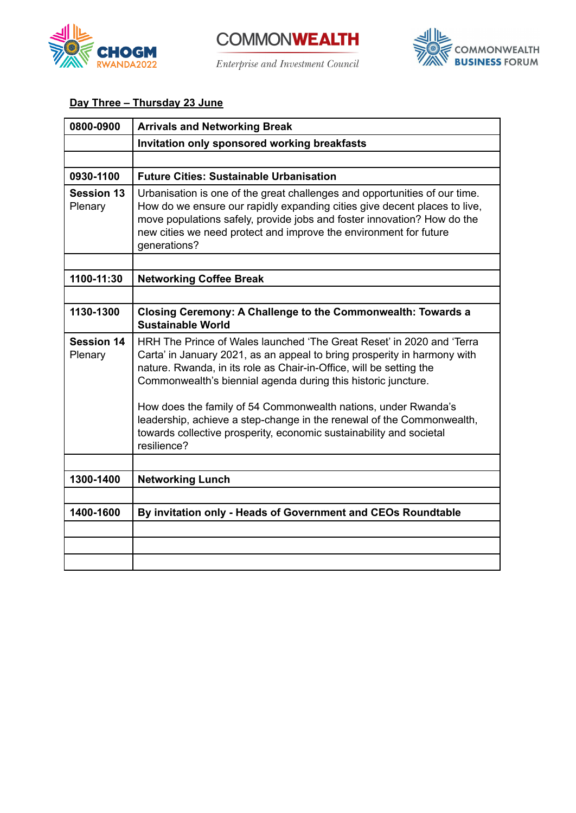

**COMMONWEALTH** Enterprise and Investment Council



# **Day Three – Thursday 23 June**

| 0800-0900                    | <b>Arrivals and Networking Break</b>                                                                                                                                                                                                                                                                                                                                                                                                                                                                        |
|------------------------------|-------------------------------------------------------------------------------------------------------------------------------------------------------------------------------------------------------------------------------------------------------------------------------------------------------------------------------------------------------------------------------------------------------------------------------------------------------------------------------------------------------------|
|                              | Invitation only sponsored working breakfasts                                                                                                                                                                                                                                                                                                                                                                                                                                                                |
|                              |                                                                                                                                                                                                                                                                                                                                                                                                                                                                                                             |
| 0930-1100                    | <b>Future Cities: Sustainable Urbanisation</b>                                                                                                                                                                                                                                                                                                                                                                                                                                                              |
| <b>Session 13</b><br>Plenary | Urbanisation is one of the great challenges and opportunities of our time.<br>How do we ensure our rapidly expanding cities give decent places to live,<br>move populations safely, provide jobs and foster innovation? How do the<br>new cities we need protect and improve the environment for future<br>generations?                                                                                                                                                                                     |
|                              |                                                                                                                                                                                                                                                                                                                                                                                                                                                                                                             |
| 1100-11:30                   | <b>Networking Coffee Break</b>                                                                                                                                                                                                                                                                                                                                                                                                                                                                              |
|                              |                                                                                                                                                                                                                                                                                                                                                                                                                                                                                                             |
| 1130-1300                    | Closing Ceremony: A Challenge to the Commonwealth: Towards a<br><b>Sustainable World</b>                                                                                                                                                                                                                                                                                                                                                                                                                    |
| <b>Session 14</b><br>Plenary | HRH The Prince of Wales launched 'The Great Reset' in 2020 and 'Terra<br>Carta' in January 2021, as an appeal to bring prosperity in harmony with<br>nature. Rwanda, in its role as Chair-in-Office, will be setting the<br>Commonwealth's biennial agenda during this historic juncture.<br>How does the family of 54 Commonwealth nations, under Rwanda's<br>leadership, achieve a step-change in the renewal of the Commonwealth,<br>towards collective prosperity, economic sustainability and societal |
|                              | resilience?                                                                                                                                                                                                                                                                                                                                                                                                                                                                                                 |
|                              |                                                                                                                                                                                                                                                                                                                                                                                                                                                                                                             |
| 1300-1400                    | <b>Networking Lunch</b>                                                                                                                                                                                                                                                                                                                                                                                                                                                                                     |
|                              |                                                                                                                                                                                                                                                                                                                                                                                                                                                                                                             |
| 1400-1600                    | By invitation only - Heads of Government and CEOs Roundtable                                                                                                                                                                                                                                                                                                                                                                                                                                                |
|                              |                                                                                                                                                                                                                                                                                                                                                                                                                                                                                                             |
|                              |                                                                                                                                                                                                                                                                                                                                                                                                                                                                                                             |
|                              |                                                                                                                                                                                                                                                                                                                                                                                                                                                                                                             |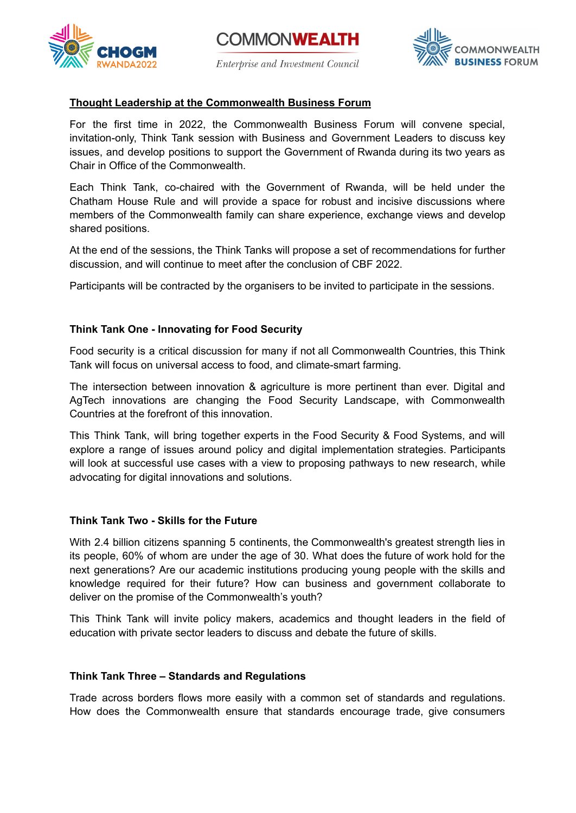





### **Thought Leadership at the Commonwealth Business Forum**

For the first time in 2022, the Commonwealth Business Forum will convene special, invitation-only, Think Tank session with Business and Government Leaders to discuss key issues, and develop positions to support the Government of Rwanda during its two years as Chair in Office of the Commonwealth.

Each Think Tank, co-chaired with the Government of Rwanda, will be held under the Chatham House Rule and will provide a space for robust and incisive discussions where members of the Commonwealth family can share experience, exchange views and develop shared positions.

At the end of the sessions, the Think Tanks will propose a set of recommendations for further discussion, and will continue to meet after the conclusion of CBF 2022.

Participants will be contracted by the organisers to be invited to participate in the sessions.

### **Think Tank One - Innovating for Food Security**

Food security is a critical discussion for many if not all Commonwealth Countries, this Think Tank will focus on universal access to food, and climate-smart farming.

The intersection between innovation & agriculture is more pertinent than ever. Digital and AgTech innovations are changing the Food Security Landscape, with Commonwealth Countries at the forefront of this innovation.

This Think Tank, will bring together experts in the Food Security & Food Systems, and will explore a range of issues around policy and digital implementation strategies. Participants will look at successful use cases with a view to proposing pathways to new research, while advocating for digital innovations and solutions.

### **Think Tank Two - Skills for the Future**

With 2.4 billion citizens spanning 5 continents, the Commonwealth's greatest strength lies in its people, 60% of whom are under the age of 30. What does the future of work hold for the next generations? Are our academic institutions producing young people with the skills and knowledge required for their future? How can business and government collaborate to deliver on the promise of the Commonwealth's youth?

This Think Tank will invite policy makers, academics and thought leaders in the field of education with private sector leaders to discuss and debate the future of skills.

### **Think Tank Three – Standards and Regulations**

Trade across borders flows more easily with a common set of standards and regulations. How does the Commonwealth ensure that standards encourage trade, give consumers